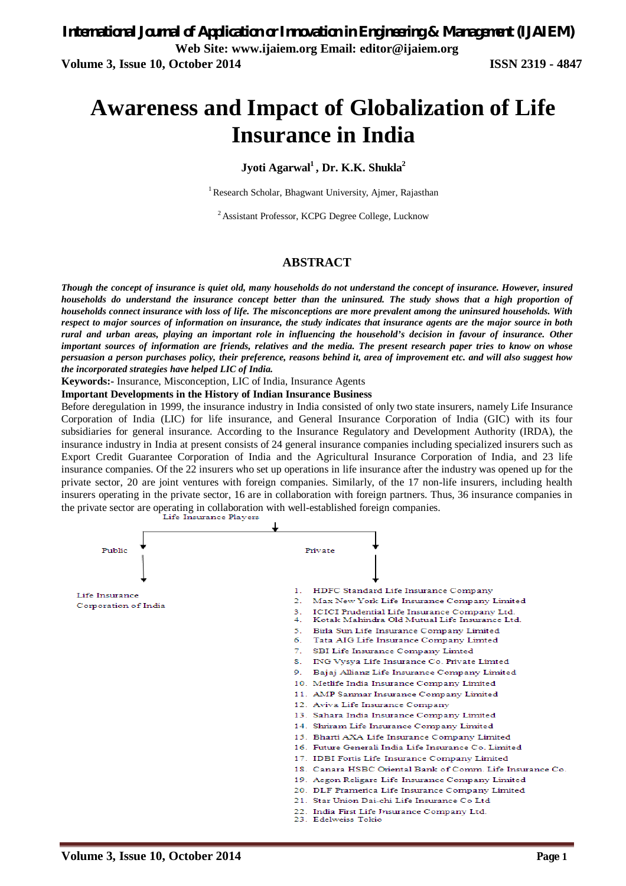# **Awareness and Impact of Globalization of Life Insurance in India**

### **Jyoti Agarwal<sup>1</sup>, Dr. K.K. Shukla<sup>2</sup>**

<sup>1</sup> Research Scholar, Bhagwant University, Ajmer, Rajasthan

<sup>2</sup>Assistant Professor, KCPG Degree College, Lucknow

### **ABSTRACT**

*Though the concept of insurance is quiet old, many households do not understand the concept of insurance. However, insured households do understand the insurance concept better than the uninsured. The study shows that a high proportion of households connect insurance with loss of life. The misconceptions are more prevalent among the uninsured households. With respect to major sources of information on insurance, the study indicates that insurance agents are the major source in both rural and urban areas, playing an important role in influencing the household's decision in favour of insurance. Other important sources of information are friends, relatives and the media. The present research paper tries to know on whose persuasion a person purchases policy, their preference, reasons behind it, area of improvement etc. and will also suggest how the incorporated strategies have helped LIC of India.*

**Keywords:-** Insurance, Misconception, LIC of India, Insurance Agents

**Important Developments in the History of Indian Insurance Business** 

Before deregulation in 1999, the insurance industry in India consisted of only two state insurers, namely Life Insurance Corporation of India (LIC) for life insurance, and General Insurance Corporation of India (GIC) with its four subsidiaries for general insurance. According to the Insurance Regulatory and Development Authority (IRDA), the insurance industry in India at present consists of 24 general insurance companies including specialized insurers such as Export Credit Guarantee Corporation of India and the Agricultural Insurance Corporation of India, and 23 life insurance companies. Of the 22 insurers who set up operations in life insurance after the industry was opened up for the private sector, 20 are joint ventures with foreign companies. Similarly, of the 17 non-life insurers, including health insurers operating in the private sector, 16 are in collaboration with foreign partners. Thus, 36 insurance companies in the private sector are operating in collaboration with well-established foreign companies.<br>Life Insurance Players

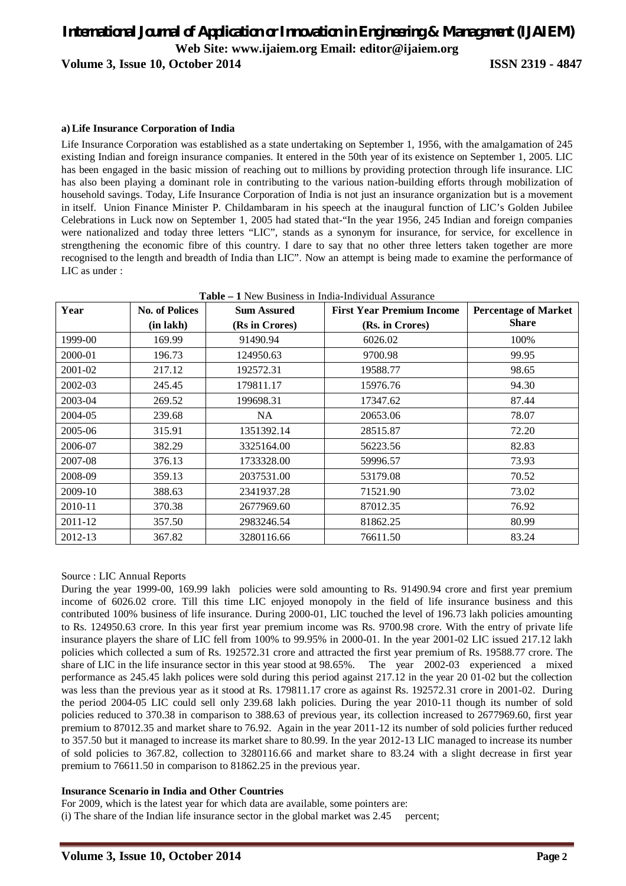**Volume 3, Issue 10, October 2014 ISSN 2319 - 4847**

### **a) Life Insurance Corporation of India**

Life Insurance Corporation was established as a state undertaking on September 1, 1956, with the amalgamation of 245 existing Indian and foreign insurance companies. It entered in the 50th year of its existence on September 1, 2005. LIC has been engaged in the basic mission of reaching out to millions by providing protection through life insurance. LIC has also been playing a dominant role in contributing to the various nation-building efforts through mobilization of household savings. Today, Life Insurance Corporation of India is not just an insurance organization but is a movement in itself. Union Finance Minister P. Childambaram in his speech at the inaugural function of LIC's Golden Jubilee Celebrations in Luck now on September 1, 2005 had stated that-"In the year 1956, 245 Indian and foreign companies were nationalized and today three letters "LIC", stands as a synonym for insurance, for service, for excellence in strengthening the economic fibre of this country. I dare to say that no other three letters taken together are more recognised to the length and breadth of India than LIC". Now an attempt is being made to examine the performance of LIC as under :

| Table – 1 New Business in India-Individual Assurance |                       |                    |                                  |                             |
|------------------------------------------------------|-----------------------|--------------------|----------------------------------|-----------------------------|
| Year                                                 | <b>No. of Polices</b> | <b>Sum Assured</b> | <b>First Year Premium Income</b> | <b>Percentage of Market</b> |
|                                                      | $(in \, lakh)$        | (Rs in Crores)     | (Rs. in Crores)                  | <b>Share</b>                |
| 1999-00                                              | 169.99                | 91490.94           | 6026.02                          | 100%                        |
| 2000-01                                              | 196.73                | 124950.63          | 9700.98                          | 99.95                       |
| 2001-02                                              | 217.12                | 192572.31          | 19588.77                         | 98.65                       |
| 2002-03                                              | 245.45                | 179811.17          | 15976.76                         | 94.30                       |
| 2003-04                                              | 269.52                | 199698.31          | 17347.62                         | 87.44                       |
| 2004-05                                              | 239.68                | NA.                | 20653.06                         | 78.07                       |
| 2005-06                                              | 315.91                | 1351392.14         | 28515.87                         | 72.20                       |
| 2006-07                                              | 382.29                | 3325164.00         | 56223.56                         | 82.83                       |
| 2007-08                                              | 376.13                | 1733328.00         | 59996.57                         | 73.93                       |
| 2008-09                                              | 359.13                | 2037531.00         | 53179.08                         | 70.52                       |
| 2009-10                                              | 388.63                | 2341937.28         | 71521.90                         | 73.02                       |
| 2010-11                                              | 370.38                | 2677969.60         | 87012.35                         | 76.92                       |
| 2011-12                                              | 357.50                | 2983246.54         | 81862.25                         | 80.99                       |
| 2012-13                                              | 367.82                | 3280116.66         | 76611.50                         | 83.24                       |

### Source : LIC Annual Reports

During the year 1999-00, 169.99 lakh policies were sold amounting to Rs. 91490.94 crore and first year premium income of 6026.02 crore. Till this time LIC enjoyed monopoly in the field of life insurance business and this contributed 100% business of life insurance. During 2000-01, LIC touched the level of 196.73 lakh policies amounting to Rs. 124950.63 crore. In this year first year premium income was Rs. 9700.98 crore. With the entry of private life insurance players the share of LIC fell from 100% to 99.95% in 2000-01. In the year 2001-02 LIC issued 217.12 lakh policies which collected a sum of Rs. 192572.31 crore and attracted the first year premium of Rs. 19588.77 crore. The share of LIC in the life insurance sector in this year stood at 98.65%. The year 2002-03 experienced a mixed performance as 245.45 lakh polices were sold during this period against 217.12 in the year 20 01-02 but the collection was less than the previous year as it stood at Rs. 179811.17 crore as against Rs. 192572.31 crore in 2001-02. During the period 2004-05 LIC could sell only 239.68 lakh policies. During the year 2010-11 though its number of sold policies reduced to 370.38 in comparison to 388.63 of previous year, its collection increased to 2677969.60, first year premium to 87012.35 and market share to 76.92. Again in the year 2011-12 its number of sold policies further reduced to 357.50 but it managed to increase its market share to 80.99. In the year 2012-13 LIC managed to increase its number of sold policies to 367.82, collection to 3280116.66 and market share to 83.24 with a slight decrease in first year premium to 76611.50 in comparison to 81862.25 in the previous year.

### **Insurance Scenario in India and Other Countries**

For 2009, which is the latest year for which data are available, some pointers are:

 $(i)$  The share of the Indian life insurance sector in the global market was 2.45 percent;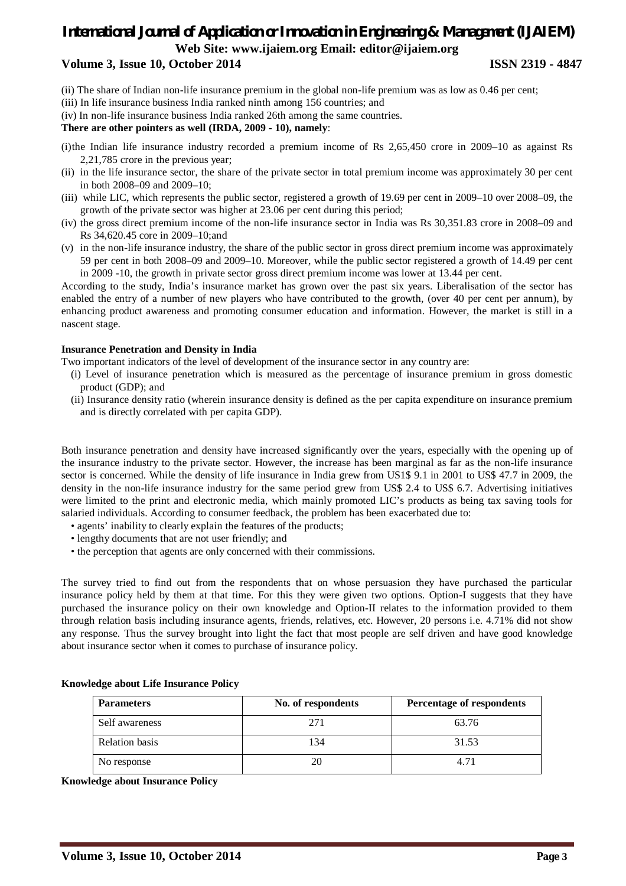### **Volume 3, Issue 10, October 2014 ISSN 2319 - 4847**

- (ii) The share of Indian non-life insurance premium in the global non-life premium was as low as 0.46 per cent;
- (iii) In life insurance business India ranked ninth among 156 countries; and
- (iv) In non-life insurance business India ranked 26th among the same countries.

### **There are other pointers as well (IRDA, 2009 - 10), namely**:

- (i)the Indian life insurance industry recorded a premium income of Rs 2,65,450 crore in 2009–10 as against Rs 2,21,785 crore in the previous year;
- (ii) in the life insurance sector, the share of the private sector in total premium income was approximately 30 per cent in both 2008–09 and 2009–10;
- (iii) while LIC, which represents the public sector, registered a growth of 19.69 per cent in 2009–10 over 2008–09, the growth of the private sector was higher at 23.06 per cent during this period;
- (iv) the gross direct premium income of the non-life insurance sector in India was Rs 30,351.83 crore in 2008–09 and Rs 34,620.45 core in 2009–10;and
- (v) in the non-life insurance industry, the share of the public sector in gross direct premium income was approximately 59 per cent in both 2008–09 and 2009–10. Moreover, while the public sector registered a growth of 14.49 per cent in 2009 -10, the growth in private sector gross direct premium income was lower at 13.44 per cent.

According to the study, India's insurance market has grown over the past six years. Liberalisation of the sector has enabled the entry of a number of new players who have contributed to the growth, (over 40 per cent per annum), by enhancing product awareness and promoting consumer education and information. However, the market is still in a nascent stage.

### **Insurance Penetration and Density in India**

Two important indicators of the level of development of the insurance sector in any country are:

- (i) Level of insurance penetration which is measured as the percentage of insurance premium in gross domestic product (GDP); and
- (ii) Insurance density ratio (wherein insurance density is defined as the per capita expenditure on insurance premium and is directly correlated with per capita GDP).

Both insurance penetration and density have increased significantly over the years, especially with the opening up of the insurance industry to the private sector. However, the increase has been marginal as far as the non-life insurance sector is concerned. While the density of life insurance in India grew from US1\$ 9.1 in 2001 to US\$ 47.7 in 2009, the density in the non-life insurance industry for the same period grew from US\$ 2.4 to US\$ 6.7. Advertising initiatives were limited to the print and electronic media, which mainly promoted LIC's products as being tax saving tools for salaried individuals. According to consumer feedback, the problem has been exacerbated due to:

- agents' inability to clearly explain the features of the products;
- lengthy documents that are not user friendly; and
- the perception that agents are only concerned with their commissions.

The survey tried to find out from the respondents that on whose persuasion they have purchased the particular insurance policy held by them at that time. For this they were given two options. Option-I suggests that they have purchased the insurance policy on their own knowledge and Option-II relates to the information provided to them through relation basis including insurance agents, friends, relatives, etc. However, 20 persons i.e. 4.71% did not show any response. Thus the survey brought into light the fact that most people are self driven and have good knowledge about insurance sector when it comes to purchase of insurance policy.

| <b>Parameters</b>     | No. of respondents | Percentage of respondents |
|-----------------------|--------------------|---------------------------|
| Self awareness        | $27^{\circ}$       | 63.76                     |
| <b>Relation</b> basis | 134                | 31.53                     |
| No response           |                    | 4.71                      |

**Knowledge about Life Insurance Policy**

**Knowledge about Insurance Policy**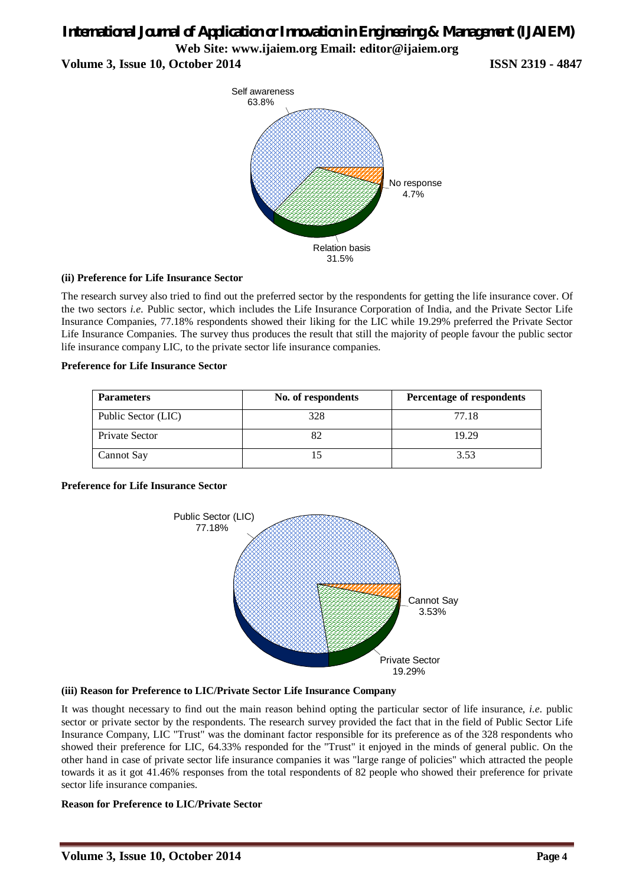**Volume 3, Issue 10, October 2014 ISSN 2319 - 4847**



### **(ii) Preference for Life Insurance Sector**

The research survey also tried to find out the preferred sector by the respondents for getting the life insurance cover. Of the two sectors *i.e.* Public sector, which includes the Life Insurance Corporation of India, and the Private Sector Life Insurance Companies, 77.18% respondents showed their liking for the LIC while 19.29% preferred the Private Sector Life Insurance Companies. The survey thus produces the result that still the majority of people favour the public sector life insurance company LIC, to the private sector life insurance companies.

### **Preference for Life Insurance Sector**

| <b>Parameters</b>   | No. of respondents | Percentage of respondents |
|---------------------|--------------------|---------------------------|
| Public Sector (LIC) | 328                | 77.18                     |
| Private Sector      |                    | 19.29                     |
| Cannot Say          |                    | 3.53                      |

### **Preference for Life Insurance Sector**



### **(iii) Reason for Preference to LIC/Private Sector Life Insurance Company**

It was thought necessary to find out the main reason behind opting the particular sector of life insurance, *i.e.* public sector or private sector by the respondents. The research survey provided the fact that in the field of Public Sector Life Insurance Company, LIC "Trust" was the dominant factor responsible for its preference as of the 328 respondents who showed their preference for LIC, 64.33% responded for the "Trust" it enjoyed in the minds of general public. On the other hand in case of private sector life insurance companies it was "large range of policies" which attracted the people towards it as it got 41.46% responses from the total respondents of 82 people who showed their preference for private sector life insurance companies.

### **Reason for Preference to LIC/Private Sector**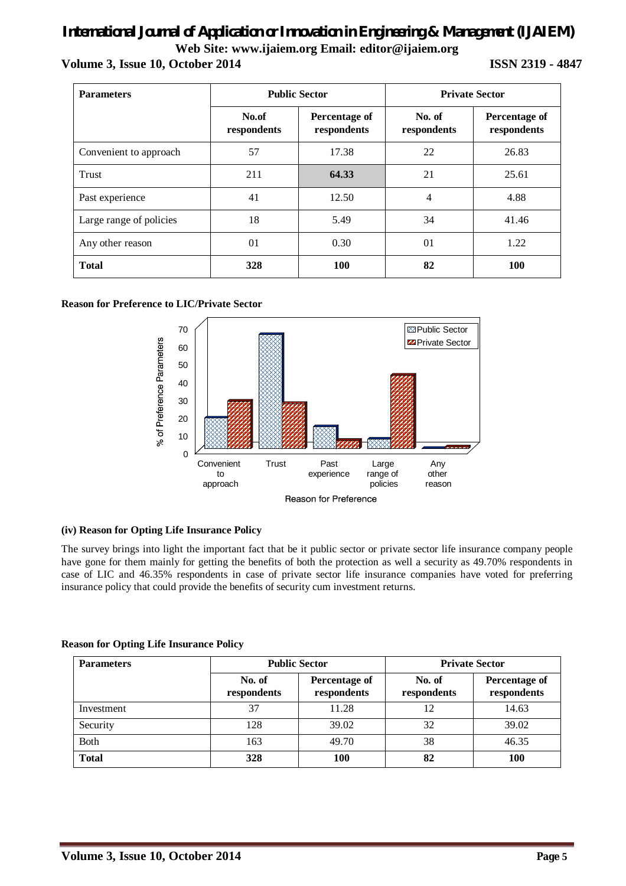### *International Journal of Application or Innovation in Engineering & Management (IJAIEM)* **Web Site: www.ijaiem.org Email: editor@ijaiem.org Volume 3, Issue 10, October 2014 ISSN 2319 - 4847**

| <b>Parameters</b>       | <b>Public Sector</b> |                              | <b>Private Sector</b> |                              |
|-------------------------|----------------------|------------------------------|-----------------------|------------------------------|
|                         | No.of<br>respondents | Percentage of<br>respondents | No. of<br>respondents | Percentage of<br>respondents |
| Convenient to approach  | 57                   | 17.38                        | 22                    | 26.83                        |
| Trust                   | 211                  | 64.33                        | 21                    | 25.61                        |
| Past experience         | 41                   | 12.50                        | 4                     | 4.88                         |
| Large range of policies | 18                   | 5.49                         | 34                    | 41.46                        |
| Any other reason        | 01                   | 0.30                         | 01                    | 1.22                         |
| <b>Total</b>            | 328                  | <b>100</b>                   | 82                    | <b>100</b>                   |

### **Reason for Preference to LIC/Private Sector**



The survey brings into light the important fact that be it public sector or private sector life insurance company people have gone for them mainly for getting the benefits of both the protection as well a security as 49.70% respondents in case of LIC and 46.35% respondents in case of private sector life insurance companies have voted for preferring insurance policy that could provide the benefits of security cum investment returns.

### **Reason for Opting Life Insurance Policy**

**(iv) Reason for Opting Life Insurance Policy**

| <b>Parameters</b> | <b>Public Sector</b>  |                              | <b>Private Sector</b> |                              |
|-------------------|-----------------------|------------------------------|-----------------------|------------------------------|
|                   | No. of<br>respondents | Percentage of<br>respondents | No. of<br>respondents | Percentage of<br>respondents |
| Investment        | 37                    | 11.28                        | 12                    | 14.63                        |
| Security          | 128                   | 39.02                        | 32                    | 39.02                        |
| <b>Both</b>       | 163                   | 49.70                        | 38                    | 46.35                        |
| <b>Total</b>      | 328                   | 100                          | 82                    | <b>100</b>                   |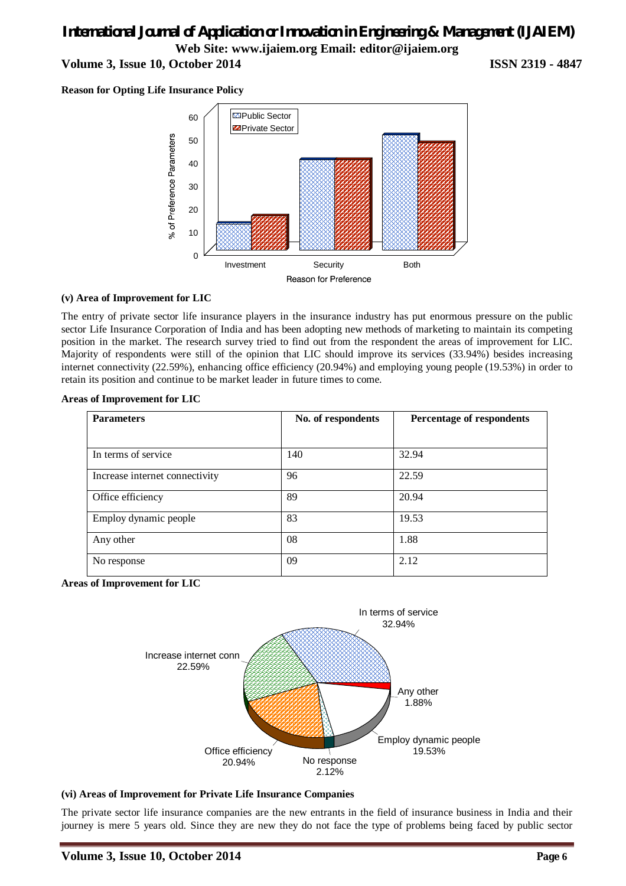### *International Journal of Application or Innovation in Engineering & Management (IJAIEM)* **Web Site: www.ijaiem.org Email: editor@ijaiem.org Volume 3, Issue 10, October 2014 ISSN 2319 - 4847**

**Reason for Opting Life Insurance Policy**



### **(v) Area of Improvement for LIC**

The entry of private sector life insurance players in the insurance industry has put enormous pressure on the public sector Life Insurance Corporation of India and has been adopting new methods of marketing to maintain its competing position in the market. The research survey tried to find out from the respondent the areas of improvement for LIC. Majority of respondents were still of the opinion that LIC should improve its services (33.94%) besides increasing internet connectivity (22.59%), enhancing office efficiency (20.94%) and employing young people (19.53%) in order to retain its position and continue to be market leader in future times to come.

### **Areas of Improvement for LIC**

| <b>Parameters</b>              | No. of respondents | Percentage of respondents |
|--------------------------------|--------------------|---------------------------|
|                                |                    |                           |
| In terms of service            | 140                | 32.94                     |
| Increase internet connectivity | 96                 | 22.59                     |
| Office efficiency              | 89                 | 20.94                     |
| Employ dynamic people          | 83                 | 19.53                     |
| Any other                      | 08                 | 1.88                      |
| No response                    | 09                 | 2.12                      |

**Areas of Improvement for LIC**



### **(vi) Areas of Improvement for Private Life Insurance Companies**

The private sector life insurance companies are the new entrants in the field of insurance business in India and their journey is mere 5 years old. Since they are new they do not face the type of problems being faced by public sector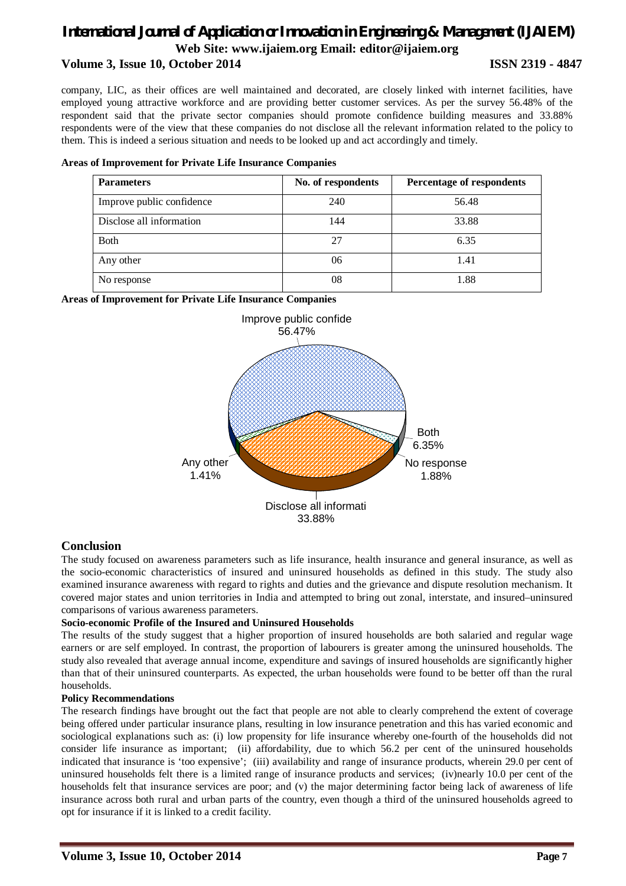### *International Journal of Application or Innovation in Engineering & Management (IJAIEM)* **Web Site: www.ijaiem.org Email: editor@ijaiem.org Volume 3, Issue 10, October 2014 ISSN 2319 - 4847**

company, LIC, as their offices are well maintained and decorated, are closely linked with internet facilities, have employed young attractive workforce and are providing better customer services. As per the survey 56.48% of the respondent said that the private sector companies should promote confidence building measures and 33.88% respondents were of the view that these companies do not disclose all the relevant information related to the policy to them. This is indeed a serious situation and needs to be looked up and act accordingly and timely.

### **Areas of Improvement for Private Life Insurance Companies**

| <b>Parameters</b>         | No. of respondents | Percentage of respondents |
|---------------------------|--------------------|---------------------------|
| Improve public confidence | 240                | 56.48                     |
| Disclose all information  | 144                | 33.88                     |
| <b>Both</b>               | 27                 | 6.35                      |
| Any other                 | 06                 | 1.41                      |
| No response               | 08                 | 1.88                      |

**Areas of Improvement for Private Life Insurance Companies**



### **Conclusion**

The study focused on awareness parameters such as life insurance, health insurance and general insurance, as well as the socio-economic characteristics of insured and uninsured households as defined in this study. The study also examined insurance awareness with regard to rights and duties and the grievance and dispute resolution mechanism. It covered major states and union territories in India and attempted to bring out zonal, interstate, and insured–uninsured comparisons of various awareness parameters.

### **Socio-economic Profile of the Insured and Uninsured Households**

The results of the study suggest that a higher proportion of insured households are both salaried and regular wage earners or are self employed. In contrast, the proportion of labourers is greater among the uninsured households. The study also revealed that average annual income, expenditure and savings of insured households are significantly higher than that of their uninsured counterparts. As expected, the urban households were found to be better off than the rural households.

### **Policy Recommendations**

The research findings have brought out the fact that people are not able to clearly comprehend the extent of coverage being offered under particular insurance plans, resulting in low insurance penetration and this has varied economic and sociological explanations such as: (i) low propensity for life insurance whereby one-fourth of the households did not consider life insurance as important; (ii) affordability, due to which 56.2 per cent of the uninsured households indicated that insurance is 'too expensive'; (iii) availability and range of insurance products, wherein 29.0 per cent of uninsured households felt there is a limited range of insurance products and services; (iv)nearly 10.0 per cent of the households felt that insurance services are poor; and (v) the major determining factor being lack of awareness of life insurance across both rural and urban parts of the country, even though a third of the uninsured households agreed to opt for insurance if it is linked to a credit facility.